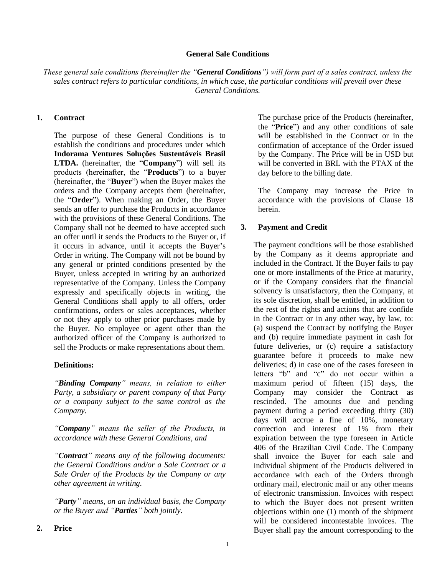#### **General Sale Conditions**

*These general sale conditions (hereinafter the "General Conditions") will form part of a sales contract, unless the sales contract refers to particular conditions, in which case, the particular conditions will prevail over these General Conditions.* 

#### **1. Contract**

The purpose of these General Conditions is to establish the conditions and procedures under which **Indorama Ventures Soluções Sustentáveis Brasil LTDA.** (hereinafter, the "**Company**") will sell its products (hereinafter, the "**Products**") to a buyer (hereinafter, the "**Buyer**") when the Buyer makes the orders and the Company accepts them (hereinafter, the "**Order**"). When making an Order, the Buyer sends an offer to purchase the Products in accordance with the provisions of these General Conditions. The Company shall not be deemed to have accepted such an offer until it sends the Products to the Buyer or, if it occurs in advance, until it accepts the Buyer's Order in writing. The Company will not be bound by any general or printed conditions presented by the Buyer, unless accepted in writing by an authorized representative of the Company. Unless the Company expressly and specifically objects in writing, the General Conditions shall apply to all offers, order confirmations, orders or sales acceptances, whether or not they apply to other prior purchases made by the Buyer. No employee or agent other than the authorized officer of the Company is authorized to sell the Products or make representations about them.

#### **Definitions:**

*"Binding Company" means, in relation to either Party, a subsidiary or parent company of that Party or a company subject to the same control as the Company.*

*"Company" means the seller of the Products, in accordance with these General Conditions, and*

*"Contract" means any of the following documents: the General Conditions and/or a Sale Contract or a Sale Order of the Products by the Company or any other agreement in writing.*

*"Party" means, on an individual basis, the Company or the Buyer and "Parties" both jointly.*

The purchase price of the Products (hereinafter, the "**Price**") and any other conditions of sale will be established in the Contract or in the confirmation of acceptance of the Order issued by the Company. The Price will be in USD but will be converted in BRL with the PTAX of the day before to the billing date.

The Company may increase the Price in accordance with the provisions of Clause 18 herein.

#### **3. Payment and Credit**

The payment conditions will be those established by the Company as it deems appropriate and included in the Contract. If the Buyer fails to pay one or more installments of the Price at maturity, or if the Company considers that the financial solvency is unsatisfactory, then the Company, at its sole discretion, shall be entitled, in addition to the rest of the rights and actions that are confide in the Contract or in any other way, by law, to: (a) suspend the Contract by notifying the Buyer and (b) require immediate payment in cash for future deliveries, or (c) require a satisfactory guarantee before it proceeds to make new deliveries; d) in case one of the cases foreseen in letters "b" and "c" do not occur within a maximum period of fifteen (15) days, the Company may consider the Contract as rescinded. The amounts due and pending payment during a period exceeding thirty (30) days will accrue a fine of 10%, monetary correction and interest of 1% from their expiration between the type foreseen in Article 406 of the Brazilian Civil Code. The Company shall invoice the Buyer for each sale and individual shipment of the Products delivered in accordance with each of the Orders through ordinary mail, electronic mail or any other means of electronic transmission. Invoices with respect to which the Buyer does not present written objections within one (1) month of the shipment will be considered incontestable invoices. The Buyer shall pay the amount corresponding to the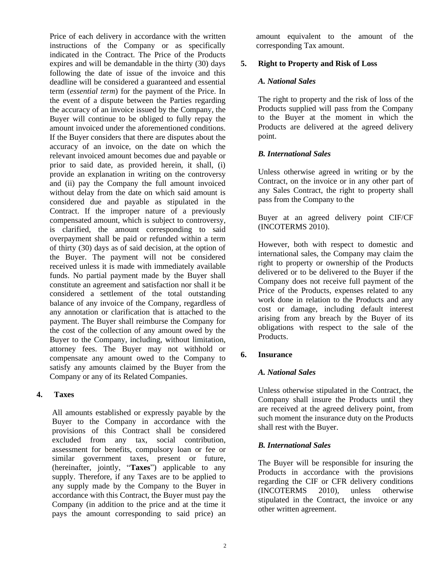Price of each delivery in accordance with the written instructions of the Company or as specifically indicated in the Contract. The Price of the Products expires and will be demandable in the thirty (30) days following the date of issue of the invoice and this deadline will be considered a guaranteed and essential term (*essential term*) for the payment of the Price. In the event of a dispute between the Parties regarding the accuracy of an invoice issued by the Company, the Buyer will continue to be obliged to fully repay the amount invoiced under the aforementioned conditions. If the Buyer considers that there are disputes about the accuracy of an invoice, on the date on which the relevant invoiced amount becomes due and payable or prior to said date, as provided herein, it shall, (i) provide an explanation in writing on the controversy and (ii) pay the Company the full amount invoiced without delay from the date on which said amount is considered due and payable as stipulated in the Contract. If the improper nature of a previously compensated amount, which is subject to controversy, is clarified, the amount corresponding to said overpayment shall be paid or refunded within a term of thirty (30) days as of said decision, at the option of the Buyer. The payment will not be considered received unless it is made with immediately available funds. No partial payment made by the Buyer shall constitute an agreement and satisfaction nor shall it be considered a settlement of the total outstanding balance of any invoice of the Company, regardless of any annotation or clarification that is attached to the payment. The Buyer shall reimburse the Company for the cost of the collection of any amount owed by the Buyer to the Company, including, without limitation, attorney fees. The Buyer may not withhold or compensate any amount owed to the Company to satisfy any amounts claimed by the Buyer from the Company or any of its Related Companies.

# **4. Taxes**

All amounts established or expressly payable by the Buyer to the Company in accordance with the provisions of this Contract shall be considered excluded from any tax, social contribution, assessment for benefits, compulsory loan or fee or similar government taxes, present or future, (hereinafter, jointly, "**Taxes**") applicable to any supply. Therefore, if any Taxes are to be applied to any supply made by the Company to the Buyer in accordance with this Contract, the Buyer must pay the Company (in addition to the price and at the time it pays the amount corresponding to said price) an amount equivalent to the amount of the corresponding Tax amount.

# **5. Right to Property and Risk of Loss**

# *A. National Sales*

The right to property and the risk of loss of the Products supplied will pass from the Company to the Buyer at the moment in which the Products are delivered at the agreed delivery point.

# *B. International Sales*

Unless otherwise agreed in writing or by the Contract, on the invoice or in any other part of any Sales Contract, the right to property shall pass from the Company to the

Buyer at an agreed delivery point CIF/CF (INCOTERMS 2010).

However, both with respect to domestic and international sales, the Company may claim the right to property or ownership of the Products delivered or to be delivered to the Buyer if the Company does not receive full payment of the Price of the Products, expenses related to any work done in relation to the Products and any cost or damage, including default interest arising from any breach by the Buyer of its obligations with respect to the sale of the Products.

# **6. Insurance**

# *A. National Sales*

Unless otherwise stipulated in the Contract, the Company shall insure the Products until they are received at the agreed delivery point, from such moment the insurance duty on the Products shall rest with the Buyer.

# *B. International Sales*

The Buyer will be responsible for insuring the Products in accordance with the provisions regarding the CIF or CFR delivery conditions (INCOTERMS 2010), unless otherwise stipulated in the Contract, the invoice or any other written agreement.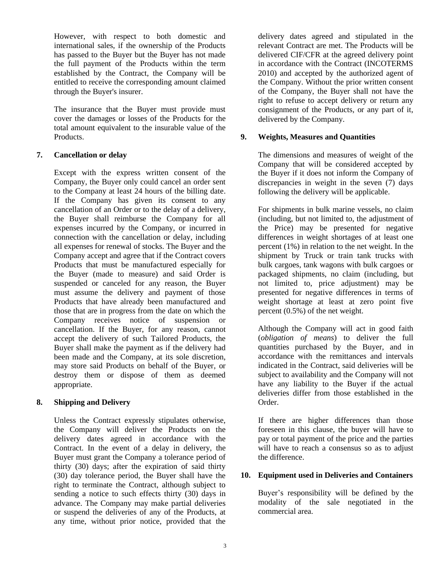However, with respect to both domestic and international sales, if the ownership of the Products has passed to the Buyer but the Buyer has not made the full payment of the Products within the term established by the Contract, the Company will be entitled to receive the corresponding amount claimed through the Buyer's insurer.

The insurance that the Buyer must provide must cover the damages or losses of the Products for the total amount equivalent to the insurable value of the Products.

# **7. Cancellation or delay**

Except with the express written consent of the Company, the Buyer only could cancel an order sent to the Company at least 24 hours of the billing date. If the Company has given its consent to any cancellation of an Order or to the delay of a delivery, the Buyer shall reimburse the Company for all expenses incurred by the Company, or incurred in connection with the cancellation or delay, including all expenses for renewal of stocks. The Buyer and the Company accept and agree that if the Contract covers Products that must be manufactured especially for the Buyer (made to measure) and said Order is suspended or canceled for any reason, the Buyer must assume the delivery and payment of those Products that have already been manufactured and those that are in progress from the date on which the Company receives notice of suspension or cancellation. If the Buyer, for any reason, cannot accept the delivery of such Tailored Products, the Buyer shall make the payment as if the delivery had been made and the Company, at its sole discretion, may store said Products on behalf of the Buyer, or destroy them or dispose of them as deemed appropriate.

# **8. Shipping and Delivery**

Unless the Contract expressly stipulates otherwise, the Company will deliver the Products on the delivery dates agreed in accordance with the Contract. In the event of a delay in delivery, the Buyer must grant the Company a tolerance period of thirty (30) days; after the expiration of said thirty (30) day tolerance period, the Buyer shall have the right to terminate the Contract, although subject to sending a notice to such effects thirty (30) days in advance. The Company may make partial deliveries or suspend the deliveries of any of the Products, at any time, without prior notice, provided that the delivery dates agreed and stipulated in the relevant Contract are met. The Products will be delivered CIF/CFR at the agreed delivery point in accordance with the Contract (INCOTERMS 2010) and accepted by the authorized agent of the Company. Without the prior written consent of the Company, the Buyer shall not have the right to refuse to accept delivery or return any consignment of the Products, or any part of it, delivered by the Company.

# **9. Weights, Measures and Quantities**

The dimensions and measures of weight of the Company that will be considered accepted by the Buyer if it does not inform the Company of discrepancies in weight in the seven (7) days following the delivery will be applicable.

For shipments in bulk marine vessels, no claim (including, but not limited to, the adjustment of the Price) may be presented for negative differences in weight shortages of at least one percent (1%) in relation to the net weight. In the shipment by Truck or train tank trucks with bulk cargoes, tank wagons with bulk cargoes or packaged shipments, no claim (including, but not limited to, price adjustment) may be presented for negative differences in terms of weight shortage at least at zero point five percent (0.5%) of the net weight.

Although the Company will act in good faith (*obligation of means*) to deliver the full quantities purchased by the Buyer, and in accordance with the remittances and intervals indicated in the Contract, said deliveries will be subject to availability and the Company will not have any liability to the Buyer if the actual deliveries differ from those established in the Order.

If there are higher differences than those foreseen in this clause, the buyer will have to pay or total payment of the price and the parties will have to reach a consensus so as to adjust the difference.

# **10. Equipment used in Deliveries and Containers**

Buyer's responsibility will be defined by the modality of the sale negotiated in the commercial area.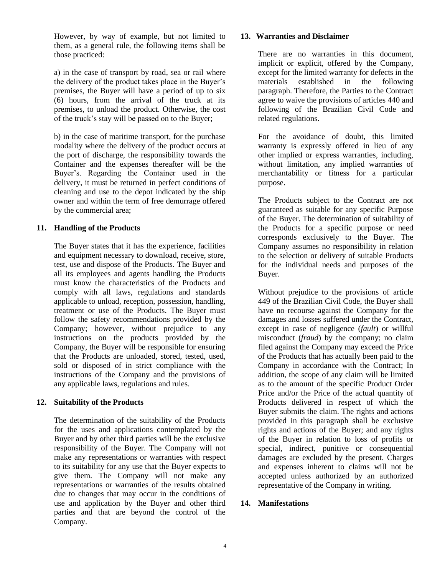However, by way of example, but not limited to them, as a general rule, the following items shall be those practiced:

a) in the case of transport by road, sea or rail where the delivery of the product takes place in the Buyer's premises, the Buyer will have a period of up to six (6) hours, from the arrival of the truck at its premises, to unload the product. Otherwise, the cost of the truck's stay will be passed on to the Buyer;

b) in the case of maritime transport, for the purchase modality where the delivery of the product occurs at the port of discharge, the responsibility towards the Container and the expenses thereafter will be the Buyer's. Regarding the Container used in the delivery, it must be returned in perfect conditions of cleaning and use to the depot indicated by the ship owner and within the term of free demurrage offered by the commercial area;

# **11. Handling of the Products**

The Buyer states that it has the experience, facilities and equipment necessary to download, receive, store, test, use and dispose of the Products. The Buyer and all its employees and agents handling the Products must know the characteristics of the Products and comply with all laws, regulations and standards applicable to unload, reception, possession, handling, treatment or use of the Products. The Buyer must follow the safety recommendations provided by the Company; however, without prejudice to any instructions on the products provided by the Company, the Buyer will be responsible for ensuring that the Products are unloaded, stored, tested, used, sold or disposed of in strict compliance with the instructions of the Company and the provisions of any applicable laws, regulations and rules.

# **12. Suitability of the Products**

The determination of the suitability of the Products for the uses and applications contemplated by the Buyer and by other third parties will be the exclusive responsibility of the Buyer. The Company will not make any representations or warranties with respect to its suitability for any use that the Buyer expects to give them. The Company will not make any representations or warranties of the results obtained due to changes that may occur in the conditions of use and application by the Buyer and other third parties and that are beyond the control of the Company.

# **13. Warranties and Disclaimer**

There are no warranties in this document, implicit or explicit, offered by the Company, except for the limited warranty for defects in the materials established in the following paragraph. Therefore, the Parties to the Contract agree to waive the provisions of articles 440 and following of the Brazilian Civil Code and related regulations.

For the avoidance of doubt, this limited warranty is expressly offered in lieu of any other implied or express warranties, including, without limitation, any implied warranties of merchantability or fitness for a particular purpose.

The Products subject to the Contract are not guaranteed as suitable for any specific Purpose of the Buyer. The determination of suitability of the Products for a specific purpose or need corresponds exclusively to the Buyer. The Company assumes no responsibility in relation to the selection or delivery of suitable Products for the individual needs and purposes of the Buyer.

Without prejudice to the provisions of article 449 of the Brazilian Civil Code, the Buyer shall have no recourse against the Company for the damages and losses suffered under the Contract, except in case of negligence (*fault*) or willful misconduct (*fraud*) by the company; no claim filed against the Company may exceed the Price of the Products that has actually been paid to the Company in accordance with the Contract; In addition, the scope of any claim will be limited as to the amount of the specific Product Order Price and/or the Price of the actual quantity of Products delivered in respect of which the Buyer submits the claim. The rights and actions provided in this paragraph shall be exclusive rights and actions of the Buyer; and any rights of the Buyer in relation to loss of profits or special, indirect, punitive or consequential damages are excluded by the present. Charges and expenses inherent to claims will not be accepted unless authorized by an authorized representative of the Company in writing.

# **14. Manifestations**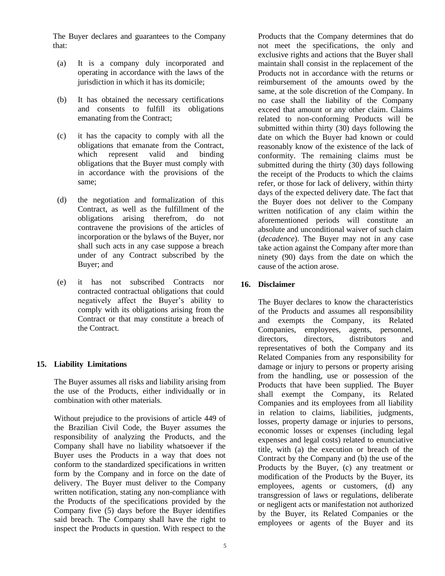The Buyer declares and guarantees to the Company that:

- (a) It is a company duly incorporated and operating in accordance with the laws of the jurisdiction in which it has its domicile;
- (b) It has obtained the necessary certifications and consents to fulfill its obligations emanating from the Contract;
- (c) it has the capacity to comply with all the obligations that emanate from the Contract, which represent valid and binding obligations that the Buyer must comply with in accordance with the provisions of the same;
- (d) the negotiation and formalization of this Contract, as well as the fulfillment of the obligations arising therefrom, do not contravene the provisions of the articles of incorporation or the bylaws of the Buyer, nor shall such acts in any case suppose a breach under of any Contract subscribed by the Buyer; and
- (e) it has not subscribed Contracts nor contracted contractual obligations that could negatively affect the Buyer's ability to comply with its obligations arising from the Contract or that may constitute a breach of the Contract.

# **15. Liability Limitations**

The Buyer assumes all risks and liability arising from the use of the Products, either individually or in combination with other materials.

Without prejudice to the provisions of article 449 of the Brazilian Civil Code, the Buyer assumes the responsibility of analyzing the Products, and the Company shall have no liability whatsoever if the Buyer uses the Products in a way that does not conform to the standardized specifications in written form by the Company and in force on the date of delivery. The Buyer must deliver to the Company written notification, stating any non-compliance with the Products of the specifications provided by the Company five (5) days before the Buyer identifies said breach. The Company shall have the right to inspect the Products in question. With respect to the

Products that the Company determines that do not meet the specifications, the only and exclusive rights and actions that the Buyer shall maintain shall consist in the replacement of the Products not in accordance with the returns or reimbursement of the amounts owed by the same, at the sole discretion of the Company. In no case shall the liability of the Company exceed that amount or any other claim. Claims related to non-conforming Products will be submitted within thirty (30) days following the date on which the Buyer had known or could reasonably know of the existence of the lack of conformity. The remaining claims must be submitted during the thirty (30) days following the receipt of the Products to which the claims refer, or those for lack of delivery, within thirty days of the expected delivery date. The fact that the Buyer does not deliver to the Company written notification of any claim within the aforementioned periods will constitute an absolute and unconditional waiver of such claim (*decadence*). The Buyer may not in any case take action against the Company after more than ninety (90) days from the date on which the cause of the action arose.

# **16. Disclaimer**

The Buyer declares to know the characteristics of the Products and assumes all responsibility and exempts the Company, its Related Companies, employees, agents, personnel, directors, directors, distributors and representatives of both the Company and its Related Companies from any responsibility for damage or injury to persons or property arising from the handling, use or possession of the Products that have been supplied. The Buyer shall exempt the Company, its Related Companies and its employees from all liability in relation to claims, liabilities, judgments, losses, property damage or injuries to persons, economic losses or expenses (including legal expenses and legal costs) related to enunciative title, with (a) the execution or breach of the Contract by the Company and (b) the use of the Products by the Buyer, (c) any treatment or modification of the Products by the Buyer, its employees, agents or customers, (d) any transgression of laws or regulations, deliberate or negligent acts or manifestation not authorized by the Buyer, its Related Companies or the employees or agents of the Buyer and its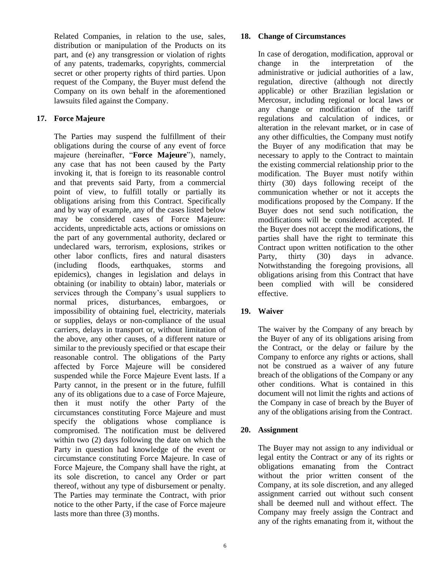Related Companies, in relation to the use, sales, distribution or manipulation of the Products on its part, and (e) any transgression or violation of rights of any patents, trademarks, copyrights, commercial secret or other property rights of third parties. Upon request of the Company, the Buyer must defend the Company on its own behalf in the aforementioned lawsuits filed against the Company.

# **17. Force Majeure**

The Parties may suspend the fulfillment of their obligations during the course of any event of force majeure (hereinafter, "**Force Majeure**"), namely, any case that has not been caused by the Party invoking it, that is foreign to its reasonable control and that prevents said Party, from a commercial point of view, to fulfill totally or partially its obligations arising from this Contract. Specifically and by way of example, any of the cases listed below may be considered cases of Force Majeure: accidents, unpredictable acts, actions or omissions on the part of any governmental authority, declared or undeclared wars, terrorism, explosions, strikes or other labor conflicts, fires and natural disasters (including floods, earthquakes, storms and epidemics), changes in legislation and delays in obtaining (or inability to obtain) labor, materials or services through the Company's usual suppliers to normal prices, disturbances, embargoes, or impossibility of obtaining fuel, electricity, materials or supplies, delays or non-compliance of the usual carriers, delays in transport or, without limitation of the above, any other causes, of a different nature or similar to the previously specified or that escape their reasonable control. The obligations of the Party affected by Force Majeure will be considered suspended while the Force Majeure Event lasts. If a Party cannot, in the present or in the future, fulfill any of its obligations due to a case of Force Majeure, then it must notify the other Party of the circumstances constituting Force Majeure and must specify the obligations whose compliance is compromised. The notification must be delivered within two (2) days following the date on which the Party in question had knowledge of the event or circumstance constituting Force Majeure. In case of Force Majeure, the Company shall have the right, at its sole discretion, to cancel any Order or part thereof, without any type of disbursement or penalty. The Parties may terminate the Contract, with prior notice to the other Party, if the case of Force majeure lasts more than three (3) months.

#### **18. Change of Circumstances**

In case of derogation, modification, approval or change in the interpretation of the administrative or judicial authorities of a law, regulation, directive (although not directly applicable) or other Brazilian legislation or Mercosur, including regional or local laws or any change or modification of the tariff regulations and calculation of indices, or alteration in the relevant market, or in case of any other difficulties, the Company must notify the Buyer of any modification that may be necessary to apply to the Contract to maintain the existing commercial relationship prior to the modification. The Buyer must notify within thirty (30) days following receipt of the communication whether or not it accepts the modifications proposed by the Company. If the Buyer does not send such notification, the modifications will be considered accepted. If the Buyer does not accept the modifications, the parties shall have the right to terminate this Contract upon written notification to the other Party, thirty (30) days in advance. Notwithstanding the foregoing provisions, all obligations arising from this Contract that have been complied with will be considered effective.

# **19. Waiver**

The waiver by the Company of any breach by the Buyer of any of its obligations arising from the Contract, or the delay or failure by the Company to enforce any rights or actions, shall not be construed as a waiver of any future breach of the obligations of the Company or any other conditions. What is contained in this document will not limit the rights and actions of the Company in case of breach by the Buyer of any of the obligations arising from the Contract.

# **20. Assignment**

The Buyer may not assign to any individual or legal entity the Contract or any of its rights or obligations emanating from the Contract without the prior written consent of the Company, at its sole discretion, and any alleged assignment carried out without such consent shall be deemed null and without effect. The Company may freely assign the Contract and any of the rights emanating from it, without the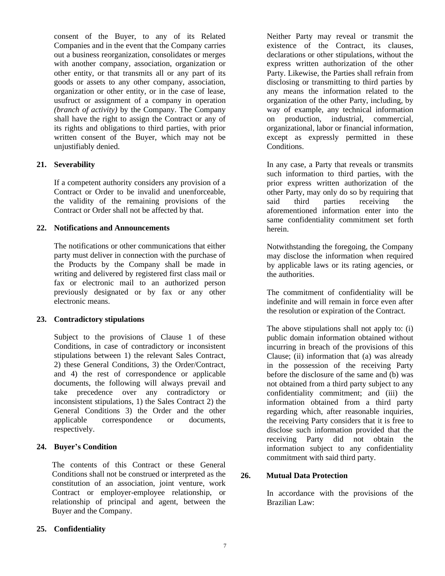consent of the Buyer, to any of its Related Companies and in the event that the Company carries out a business reorganization, consolidates or merges with another company, association, organization or other entity, or that transmits all or any part of its goods or assets to any other company, association, organization or other entity, or in the case of lease, usufruct or assignment of a company in operation *(branch of activity)* by the Company. The Company shall have the right to assign the Contract or any of its rights and obligations to third parties, with prior written consent of the Buyer, which may not be unjustifiably denied.

# **21. Severability**

If a competent authority considers any provision of a Contract or Order to be invalid and unenforceable, the validity of the remaining provisions of the Contract or Order shall not be affected by that.

# **22. Notifications and Announcements**

The notifications or other communications that either party must deliver in connection with the purchase of the Products by the Company shall be made in writing and delivered by registered first class mail or fax or electronic mail to an authorized person previously designated or by fax or any other electronic means.

# **23. Contradictory stipulations**

Subject to the provisions of Clause 1 of these Conditions, in case of contradictory or inconsistent stipulations between 1) the relevant Sales Contract, 2) these General Conditions, 3) the Order/Contract, and 4) the rest of correspondence or applicable documents, the following will always prevail and take precedence over any contradictory or inconsistent stipulations, 1) the Sales Contract 2) the General Conditions 3) the Order and the other applicable correspondence or documents, respectively.

# **24. Buyer's Condition**

The contents of this Contract or these General Conditions shall not be construed or interpreted as the constitution of an association, joint venture, work Contract or employer-employee relationship, or relationship of principal and agent, between the Buyer and the Company.

Neither Party may reveal or transmit the existence of the Contract, its clauses, declarations or other stipulations, without the express written authorization of the other Party. Likewise, the Parties shall refrain from disclosing or transmitting to third parties by any means the information related to the organization of the other Party, including, by way of example, any technical information on production, industrial, commercial, organizational, labor or financial information, except as expressly permitted in these Conditions.

In any case, a Party that reveals or transmits such information to third parties, with the prior express written authorization of the other Party, may only do so by requiring that said third parties receiving the aforementioned information enter into the same confidentiality commitment set forth herein.

Notwithstanding the foregoing, the Company may disclose the information when required by applicable laws or its rating agencies, or the authorities.

The commitment of confidentiality will be indefinite and will remain in force even after the resolution or expiration of the Contract.

The above stipulations shall not apply to: (i) public domain information obtained without incurring in breach of the provisions of this Clause; (ii) information that (a) was already in the possession of the receiving Party before the disclosure of the same and (b) was not obtained from a third party subject to any confidentiality commitment; and (iii) the information obtained from a third party regarding which, after reasonable inquiries, the receiving Party considers that it is free to disclose such information provided that the receiving Party did not obtain the information subject to any confidentiality commitment with said third party.

# **26. Mutual Data Protection**

In accordance with the provisions of the Brazilian Law:

# **25. Confidentiality**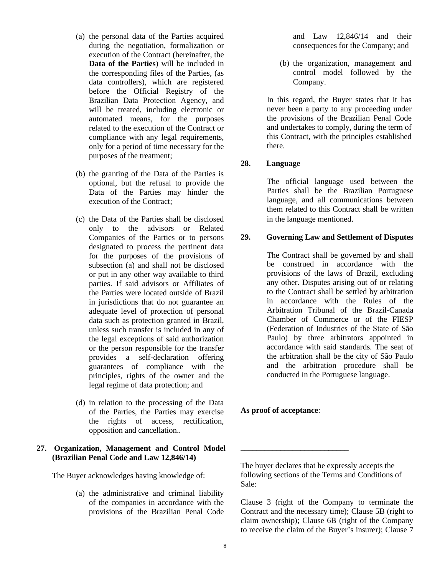- (a) the personal data of the Parties acquired during the negotiation, formalization or execution of the Contract (hereinafter, the **Data of the Parties**) will be included in the corresponding files of the Parties, (as data controllers), which are registered before the Official Registry of the Brazilian Data Protection Agency, and will be treated, including electronic or automated means, for the purposes related to the execution of the Contract or compliance with any legal requirements, only for a period of time necessary for the purposes of the treatment;
- (b) the granting of the Data of the Parties is optional, but the refusal to provide the Data of the Parties may hinder the execution of the Contract;
- (c) the Data of the Parties shall be disclosed only to the advisors or Related Companies of the Parties or to persons designated to process the pertinent data for the purposes of the provisions of subsection (a) and shall not be disclosed or put in any other way available to third parties. If said advisors or Affiliates of the Parties were located outside of Brazil in jurisdictions that do not guarantee an adequate level of protection of personal data such as protection granted in Brazil, unless such transfer is included in any of the legal exceptions of said authorization or the person responsible for the transfer provides a self-declaration offering guarantees of compliance with the principles, rights of the owner and the legal regime of data protection; and
- (d) in relation to the processing of the Data of the Parties, the Parties may exercise the rights of access, rectification, opposition and cancellation..

#### **27. Organization, Management and Control Model (Brazilian Penal Code and Law 12,846/14)**

The Buyer acknowledges having knowledge of:

(a) the administrative and criminal liability of the companies in accordance with the provisions of the Brazilian Penal Code

and Law 12,846/14 and their consequences for the Company; and

(b) the organization, management and control model followed by the Company.

In this regard, the Buyer states that it has never been a party to any proceeding under the provisions of the Brazilian Penal Code and undertakes to comply, during the term of this Contract, with the principles established there.

# **28. Language**

The official language used between the Parties shall be the Brazilian Portuguese language, and all communications between them related to this Contract shall be written in the language mentioned.

# **29. Governing Law and Settlement of Disputes**

The Contract shall be governed by and shall be construed in accordance with the provisions of the laws of Brazil, excluding any other. Disputes arising out of or relating to the Contract shall be settled by arbitration in accordance with the Rules of the Arbitration Tribunal of the Brazil-Canada Chamber of Commerce or of the FIESP (Federation of Industries of the State of São Paulo) by three arbitrators appointed in accordance with said standards. The seat of the arbitration shall be the city of São Paulo and the arbitration procedure shall be conducted in the Portuguese language.

#### **As proof of acceptance**:

\_\_\_\_\_\_\_\_\_\_\_\_\_\_\_\_\_\_\_\_\_\_\_\_\_\_\_

The buyer declares that he expressly accepts the following sections of the Terms and Conditions of Sale:

Clause 3 (right of the Company to terminate the Contract and the necessary time); Clause 5B (right to claim ownership); Clause 6B (right of the Company to receive the claim of the Buyer's insurer); Clause 7